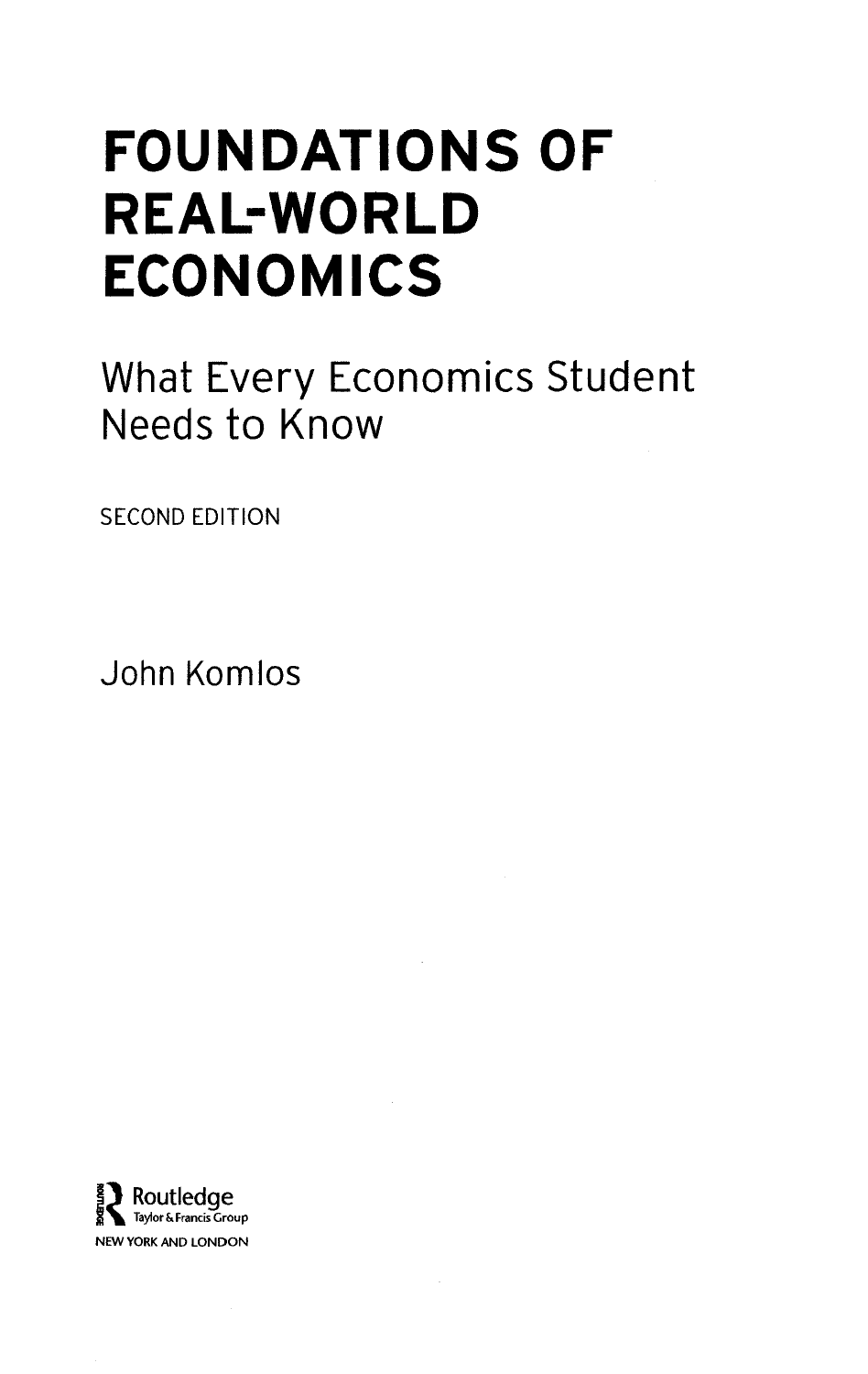## FOUNDATIONS OF REAL-WORLD ECONOMICS

What Every Economics Student Needs to Know

SECOND EDITION

John Komlos

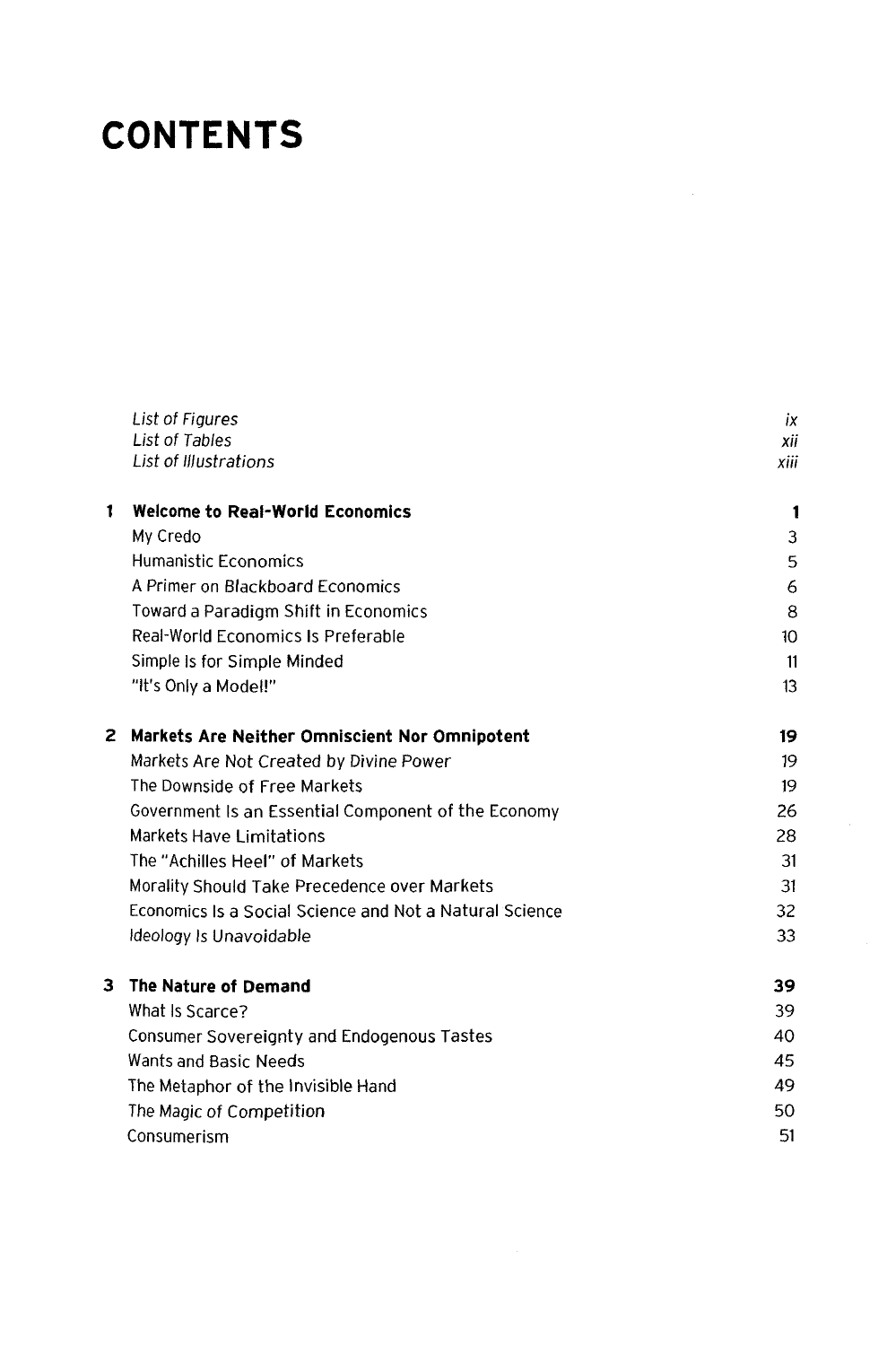## **CONTENTS**

|   | List of Figures                                         | ix             |
|---|---------------------------------------------------------|----------------|
|   | List of Tables                                          | xii            |
|   | List of Illustrations                                   | xiii           |
| 1 | <b>Welcome to Real-World Economics</b>                  | $\blacksquare$ |
|   | My Credo                                                | 3              |
|   | <b>Humanistic Economics</b>                             | 5              |
|   | A Primer on Blackboard Economics                        | 6              |
|   | Toward a Paradigm Shift in Economics                    | 8              |
|   | Real-World Economics Is Preferable                      | 10             |
|   | Simple Is for Simple Minded                             | 11             |
|   | "It's Only a Model!"                                    | 13             |
| 2 | Markets Are Neither Omniscient Nor Omnipotent           | 19             |
|   | Markets Are Not Created by Divine Power                 | 19             |
|   | The Downside of Free Markets                            | 19             |
|   | Government Is an Essential Component of the Economy     | 26             |
|   | Markets Have Limitations                                | 28             |
|   | The "Achilles Heel" of Markets                          | 31             |
|   | Morality Should Take Precedence over Markets            | 31             |
|   | Economics Is a Social Science and Not a Natural Science | 32             |
|   | Ideology Is Unavoidable                                 | 33             |
| 3 | The Nature of Demand                                    | 39             |
|   | What Is Scarce?                                         | 39             |
|   | Consumer Sovereignty and Endogenous Tastes              | 40             |
|   | Wants and Basic Needs                                   | 45             |
|   | The Metaphor of the Invisible Hand                      | 49             |
|   | The Magic of Competition                                | 50             |
|   | Consumerism                                             | 51             |
|   |                                                         |                |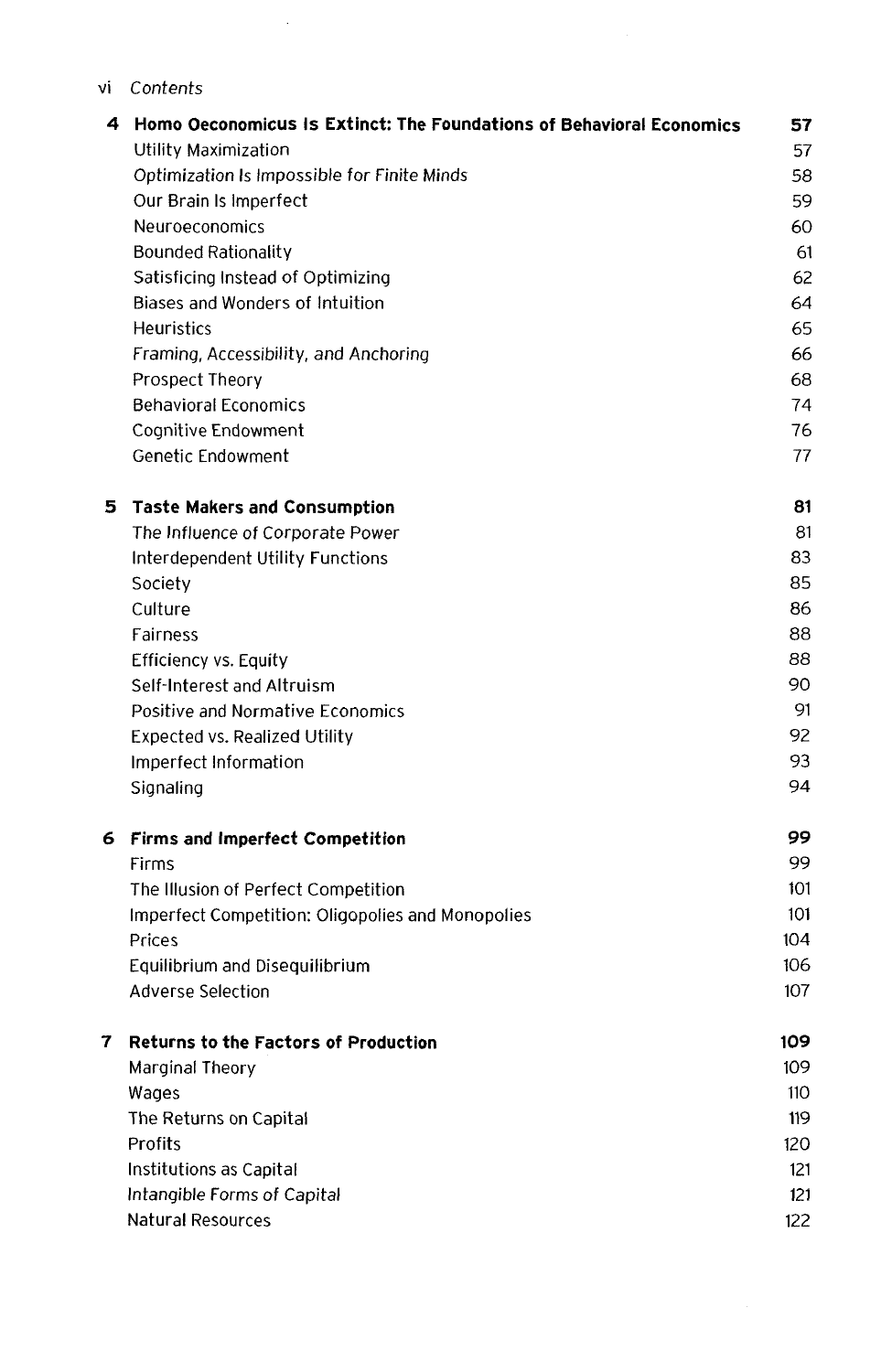## vi *Contents*

 $\sim 10^7$ 

| 4 | Homo Oeconomicus Is Extinct: The Foundations of Behavioral Economics | 57  |
|---|----------------------------------------------------------------------|-----|
|   | <b>Utility Maximization</b>                                          | 57  |
|   | Optimization Is Impossible for Finite Minds                          | 58  |
|   | Our Brain Is Imperfect                                               | 59  |
|   | Neuroeconomics                                                       | 60  |
|   | <b>Bounded Rationality</b>                                           | 61  |
|   | Satisficing Instead of Optimizing                                    | 62  |
|   | Biases and Wonders of Intuition                                      | 64  |
|   | <b>Heuristics</b>                                                    | 65  |
|   | Framing, Accessibility, and Anchoring                                | 66  |
|   | Prospect Theory                                                      | 68  |
|   | <b>Behavioral Economics</b>                                          | 74  |
|   | Cognitive Endowment                                                  | 76  |
|   | Genetic Endowment                                                    | 77  |
| 5 | <b>Taste Makers and Consumption</b>                                  | 81  |
|   | The Influence of Corporate Power                                     | 81  |
|   | Interdependent Utility Functions                                     | 83  |
|   | Society                                                              | 85  |
|   | Culture                                                              | 86  |
|   | Fairness                                                             | 88  |
|   | <b>Efficiency vs. Equity</b>                                         | 88  |
|   | Self-Interest and Altruism                                           | 90  |
|   | Positive and Normative Economics                                     | 91  |
|   | <b>Expected vs. Realized Utility</b>                                 | 92  |
|   | Imperfect Information                                                | 93  |
|   | Signaling                                                            | 94  |
| 6 | <b>Firms and Imperfect Competition</b>                               | 99  |
|   | Firms                                                                | 99  |
|   | The Illusion of Perfect Competition                                  | 101 |
|   | Imperfect Competition: Oligopolies and Monopolies                    | 101 |
|   | Prices                                                               | 104 |
|   | Equilibrium and Disequilibrium                                       | 106 |
|   | Adverse Selection                                                    | 107 |
| 7 | <b>Returns to the Factors of Production</b>                          | 109 |
|   | Marginal Theory                                                      | 109 |
|   | Wages                                                                | 110 |
|   | The Returns on Capital                                               | 119 |
|   | Profits                                                              | 120 |
|   | Institutions as Capital                                              | 121 |
|   | Intangible Forms of Capital                                          | 121 |
|   | <b>Natural Resources</b>                                             | 122 |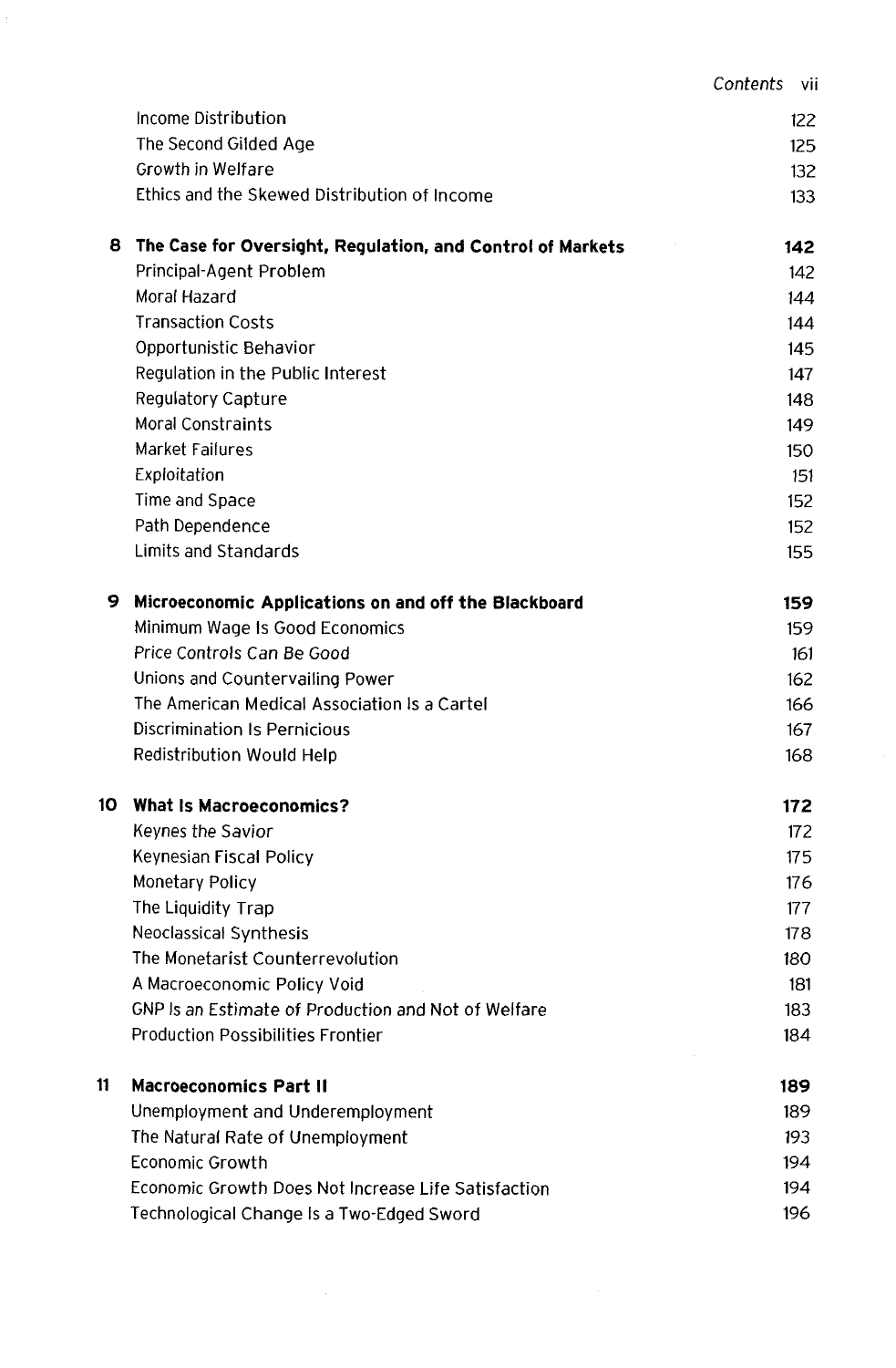|    |                                                            | Contents<br>-vii |
|----|------------------------------------------------------------|------------------|
|    | Income Distribution                                        | 122              |
|    | The Second Gilded Age                                      | 125              |
|    | Growth in Welfare                                          | 132              |
|    | Ethics and the Skewed Distribution of Income               | 133              |
| 8  | The Case for Oversight, Regulation, and Control of Markets | 142              |
|    | Principal-Agent Problem                                    | 142              |
|    | Moral Hazard                                               | 144              |
|    | <b>Transaction Costs</b>                                   | 144              |
|    | Opportunistic Behavior                                     | 145              |
|    | Regulation in the Public Interest                          | 147              |
|    | Regulatory Capture                                         | 148              |
|    | <b>Moral Constraints</b>                                   | 149              |
|    | Market Failures                                            | 150              |
|    | Exploitation                                               | 151              |
|    | Time and Space                                             | 152              |
|    | Path Dependence                                            | 152              |
|    | Limits and Standards                                       | 155              |
| 9  | Microeconomic Applications on and off the Blackboard       | 159              |
|    | Minimum Wage Is Good Economics                             | 159              |
|    | Price Controls Can Be Good                                 | 161              |
|    | Unions and Countervailing Power                            | 162              |
|    | The American Medical Association Is a Cartel               | 166              |
|    | Discrimination Is Pernicious                               | 167              |
|    | Redistribution Would Help                                  | 168              |
| 10 | <b>What Is Macroeconomics?</b>                             | 172              |
|    | Keynes the Savior                                          | 172              |
|    | Keynesian Fiscal Policy                                    | 175              |
|    | Monetary Policy                                            | 176              |
|    | The Liquidity Trap                                         | 177              |
|    | Neoclassical Synthesis                                     | 178              |
|    | The Monetarist Counterrevolution                           | 180              |
|    | A Macroeconomic Policy Void                                | 181              |
|    | GNP Is an Estimate of Production and Not of Welfare        | 183              |
|    | <b>Production Possibilities Frontier</b>                   | 184              |
| 11 | Macroeconomics Part II                                     | 189              |
|    | Unemployment and Underemployment                           | 189              |
|    | The Natural Rate of Unemployment                           | 193              |
|    | <b>Economic Growth</b>                                     | 194              |
|    | Economic Growth Does Not Increase Life Satisfaction        | 194              |
|    | Technological Change Is a Two-Edged Sword                  | 196              |